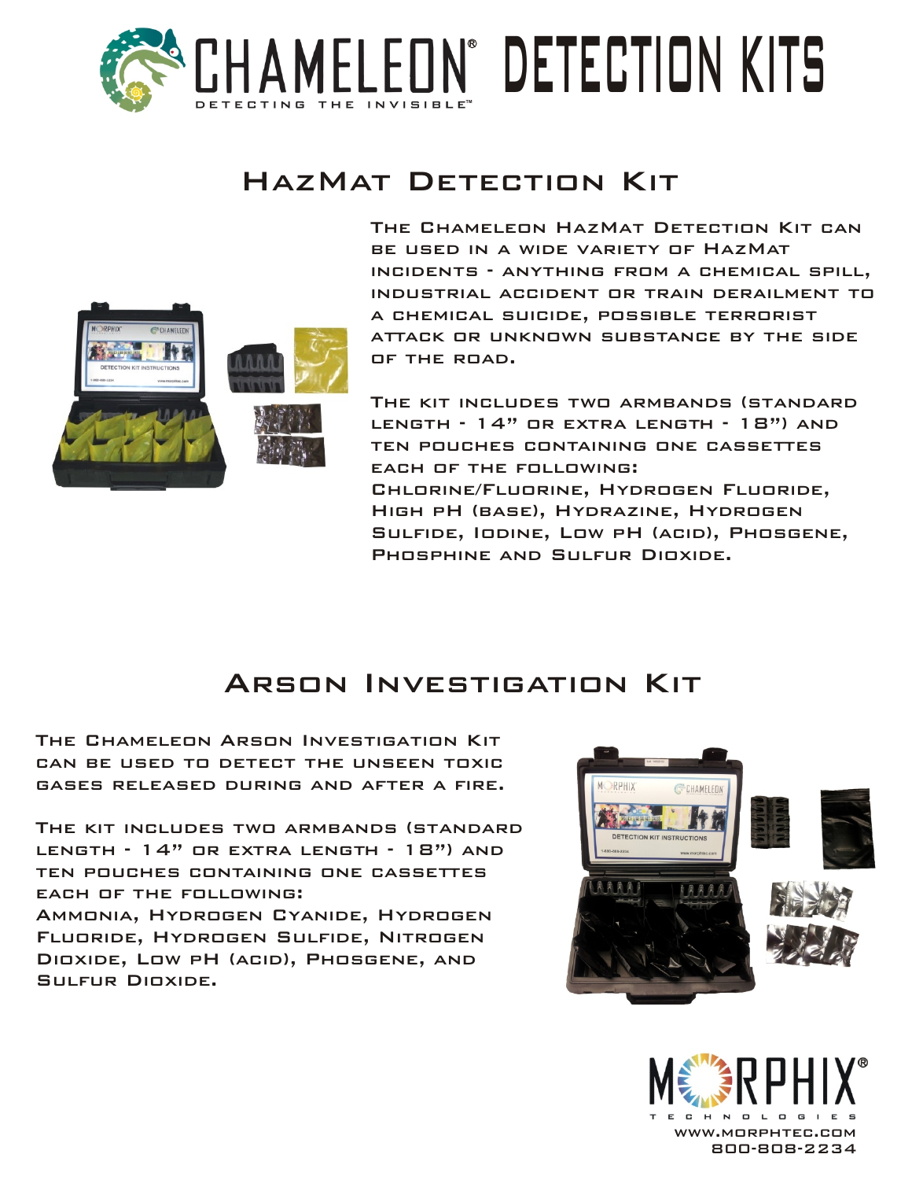

## HazMat Detection Kit



The Chameleon HazMat Detection Kit can be used in a wide variety of HazMat incidents - anything from a chemical spill, industrial accident or train derailment to a chemical suicide, possible terrorist attack or unknown substance by the side of the road.

The kit includes two armbands (standard length - 14" or extra length - 18") and ten pouches containing one cassettes each of the following: Chlorine/Fluorine, Hydrogen Fluoride, High pH (base), Hydrazine, Hydrogen Sulfide, Iodine, Low pH (acid), Phosgene, PHOSPHINE AND SULFUR DIOXIDE.

## Arson Investigation Kit

The Chameleon Arson Investigation Kit can be used to detect the unseen toxic gases released during and after a fire.

The kit includes two armbands (standard length - 14" or extra length - 18") and ten pouches containing one cassettes each of the following:

Ammonia, Hydrogen Cyanide, Hydrogen Fluoride, Hydrogen Sulfide, Nitrogen Dioxide, Low pH (acid), Phosgene, and Sulfur Dioxide.